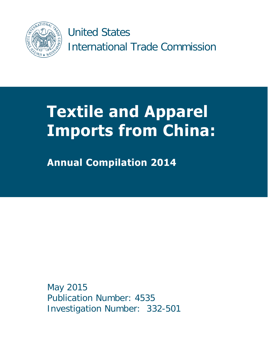

 International Trade Commission United States

# **Textile and Apparel Imports from China:**

**Annual Compilation 2014** 

 May 2015 Publication Number: 4535 Investigation Number: 332-501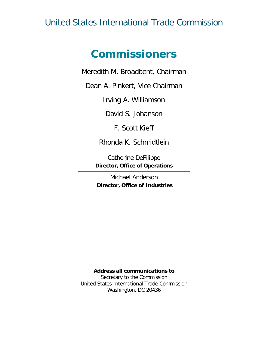## United States International Trade Commission

## **Commissioners**

Meredith M. Broadbent, Chairman

Dean A. Pinkert, Vice Chairman

Irving A. Williamson

David S. Johanson

F. Scott Kieff

Rhonda K. Schmidtlein

Catherine DeFilippo **Director, Office of Operations** 

Michael Anderson **Director, Office of Industries** 

#### **Address all communications to**

Secretary to the Commission United States International Trade Commission Washington, DC 20436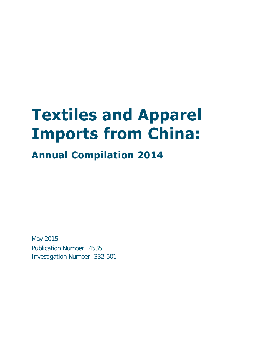# **Textiles and Apparel Imports from China:**

# **Annual Compilation 2014**

May 2015 Publication Number: 4535 Investigation Number: 332-501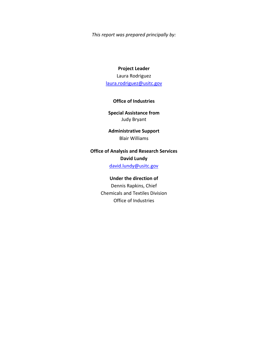*This report was prepared principally by:* 

## **Project Leader**  Laura Rodriguez [laura.rodriguez@usitc.gov](mailto:laura.rodriguez@usitc.gov)

#### **Office of Industries**

**Special Assistance from**  Judy Bryant

**Administrative Support**  Blair Williams

## **Office of Analysis and Research Services David Lundy**

david.lundy@usitc.gov

#### **Under the direction of**

Dennis Rapkins, Chief Chemicals and Textiles Division Office of Industries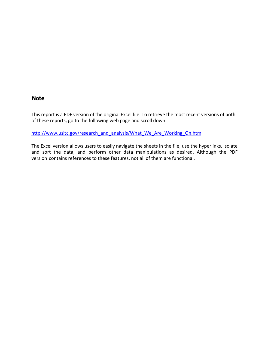### **Note**

This report is a PDF version of the original Excel file. To retrieve the most recent versions of both of these reports, go to the following web page and scroll down.

http://www.usitc.gov/research\_and\_analysis/What\_We\_Are\_Working\_On.htm

The Excel version allows users to easily navigate the sheets in the file, use the hyperlinks, isolate and sort the data, and perform other data manipulations as desired. Although the PDF version contains references to these features, not all of them are functional.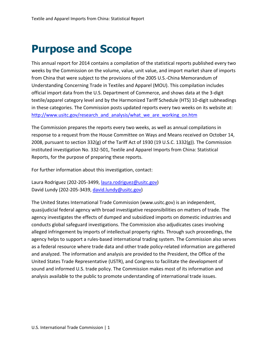# **Purpose and Scope**

 textile/apparel category level and by the Harmonized Tariff Schedule (HTS) 10-digit subheadings http://www.usitc.gov/research and analysis/what we are working on.htm http://www.usitc.gov/research\_and\_analysis/what\_we\_are\_working\_on.htm<br>The Commission prepares the reports every two weeks, as well as annual compilations in This annual report for 2014 contains a compilation of the statistical reports published every two weeks by the Commission on the volume, value, unit value, and import market share of imports from China that were subject to the provisions of the 2005 U.S.-China Memorandum of Understanding Concerning Trade in Textiles and Apparel (MOU). This compilation includes official import data from the U.S. Department of Commerce, and shows data at the 3-digit in these categories. The Commission posts updated reports every two weeks on its website at:

 Reports, for the purpose of preparing these reports. response to a request from the House Committee on Ways and Means received on October 14, 2008, pursuant to section 332(g) of the Tariff Act of 1930 (19 U.S.C. 1332(g)). The Commission instituted investigation No. 332-501, Textile and Apparel Imports from China: Statistical

For further information about this investigation, contact:

Laura Rodriguez (202-205-3499[, laura.rodriguez@usitc.gov\)](mailto:laura.rodriguez@usitc.gov) David Lundy (202-205-3439, [david.lundy@usitc.gov\)](mailto:david.lundy@usitc.gov)

 quasijudicial federal agency with broad investigative responsibilities on matters of trade. The alleged infringement by imports of intellectual property rights. Through such proceedings, the agency helps to support a rules-based international trading system. The Commission also serves and analyzed. The information and analysis are provided to the President, the Office of the sound and informed U.S. trade policy. The Commission makes most of its information and analysis available to the public to promote understanding of international trade issues. The United States International Trade Commission (www.usitc.gov) is an independent, agency investigates the effects of dumped and subsidized imports on domestic industries and conducts global safeguard investigations. The Commission also adjudicates cases involving as a federal resource where trade data and other trade policy-related information are gathered United States Trade Representative (USTR), and Congress to facilitate the development of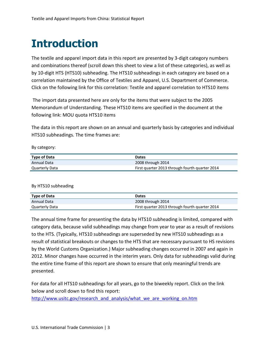# **Introduction**

 The textile and apparel import data in this report are presented by 3-digit category numbers and combinations thereof (scroll down this sheet to view a list of these categories), as well as by 10-digit HTS (HTS10) subheading. The HTS10 subheadings in each category are based on a correlation maintained by the Office of Textiles and Apparel, U.S. Department of Commerce. Click on the following link for this correlation: Textile and apparel correlation to HTS10 items

 The import data presented here are only for the items that were subject to the 2005 Memorandum of Understanding. These HTS10 items are specified in the document at the following link: MOU quota HTS10 items

The data in this report are shown on an annual and quarterly basis by categories and individual HTS10 subheadings. The time frames are:

By category:

| <b>Type of Data</b> | <b>Dates</b>                                   |
|---------------------|------------------------------------------------|
| Annual Data         | 2008 through 2014                              |
| Quarterly Data      | First quarter 2013 through fourth quarter 2014 |

By HTS10 subheading

| <b>Type of Data</b> | <b>Dates</b>                                   |
|---------------------|------------------------------------------------|
| Annual Data         | 2008 through 2014                              |
| Quarterly Data      | First quarter 2013 through fourth quarter 2014 |

 category data, because valid subheadings may change from year to year as a result of revisions result of statistical breakouts or changes to the HTS that are necessary pursuant to HS revisions the entire time frame of this report are shown to ensure that only meaningful trends are The annual time frame for presenting the data by HTS10 subheading is limited, compared with to the HTS. (Typically, HTS10 subheadings are superseded by new HTS10 subheadings as a by the World Customs Organization.) Major subheading changes occurred in 2007 and again in 2012. Minor changes have occurred in the interim years. Only data for subheadings valid during presented.

 below and scroll down to find this report: For data for all HTS10 subheadings for all years, go to the biweekly report. Click on the link

http://www.usitc.gov/research\_and\_analysis/what\_we\_are\_working\_on.htm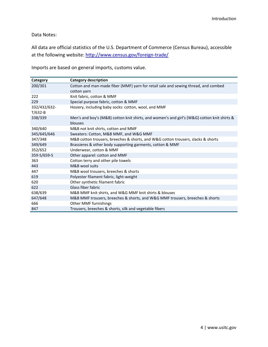### Data Notes:

 All data are official statistics of the U.S. Department of Commerce (Census Bureau), accessible at the following website: <u>http://www.census.gov/foreign-trade/</u>

| Category     | Category description                                                                                   |  |  |
|--------------|--------------------------------------------------------------------------------------------------------|--|--|
| 200/301      | Cotton and man-made fiber (MMF) yarn for retail sale and sewing thread, and combed                     |  |  |
|              | cotton yarn                                                                                            |  |  |
| 222          | Knit fabric, cotton & MMF                                                                              |  |  |
| 229          | Special purpose fabric, cotton & MMF                                                                   |  |  |
| 332/432/632- | Hosiery, including baby socks: cotton, wool, and MMF                                                   |  |  |
| $T/632-B$    |                                                                                                        |  |  |
| 338/339      | Men's and boy's (M&B) cotton knit shirts, and women's and girl's (W&G) cotton knit shirts &<br>blouses |  |  |
| 340/640      | M&B not knit shirts, cotton and MMF                                                                    |  |  |
| 345/645/646  | Sweaters: Cotton, M&B MMF, and W&G MMF                                                                 |  |  |
| 347/348      | M&B cotton trousers, breeches & shorts, and W&G cotton trousers, slacks & shorts                       |  |  |
| 349/649      | Brassieres & other body supporting garments, cotton & MMF                                              |  |  |
| 352/652      | Underwear, cotton & MMF                                                                                |  |  |
| 359-S/659-S  | Other apparel: cotton and MMF                                                                          |  |  |
| 363          | Cotton terry and other pile towels                                                                     |  |  |
| 443          | M&B wool suits                                                                                         |  |  |
| 447          | M&B wool trousers, breeches & shorts                                                                   |  |  |
| 619          | Polyester filament fabric, light-weight                                                                |  |  |
| 620          | Other synthetic filament fabric                                                                        |  |  |
| 622          | Glass fiber fabric                                                                                     |  |  |
| 638/639      | M&B MMF knit shirts, and W&G MMF knit shirts & blouses                                                 |  |  |
| 647/648      | M&B MMF trousers, breeches & shorts, and W&G MMF trousers, breeches & shorts                           |  |  |
| 666          | Other MMF furnishings                                                                                  |  |  |
| 847          | Trousers, breeches & shorts, silk and vegetable fibers                                                 |  |  |

Imports are based on general imports, customs value.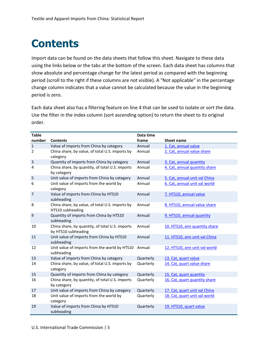# **Contents**

 Import data can be found on the data sheets that follow this sheet. Navigate to these data using the links below or the tabs at the bottom of the screen. Each data sheet has columns that period (scroll to the right if these columns are not visible). A "Not applicable" in the percentage show absolute and percentage change for the latest period as compared with the beginning change column indicates that a value cannot be calculated because the value in the beginning period is zero.

 Each data sheet also has a filtering feature on line 4 that can be used to isolate or sort the data. Use the filter in the index column (sort ascending option) to return the sheet to its original order.

| <b>Table</b>   |                                                                        | Data time |                               |
|----------------|------------------------------------------------------------------------|-----------|-------------------------------|
| number         | <b>Contents</b>                                                        | frame     | <b>Sheet name</b>             |
| $\mathbf 1$    | Value of imports from China by category                                | Annual    | 1. Cat, annual value          |
| $\overline{2}$ | China share, by value, of total U.S. imports by<br>category            | Annual    | 2. Cat, annual value share    |
| 3              | Quantity of imports from China by category                             | Annual    | 3. Cat, annual quantity       |
| 4              | China share, by quantity, of total U.S. imports<br>by category         | Annual    | 4. Cat, annual quantity share |
| 5              | Unit value of imports from China by category                           | Annual    | 5. Cat, annual unit val China |
| 6              | Unit value of imports from the world by<br>category                    | Annual    | 6. Cat, annual unit val world |
| 7              | Value of imports from China by HTS10<br>subheading                     | Annual    | 7. HTS10, annual value        |
| 8              | China share, by value, of total U.S. imports by<br>HTS10 subheading    | Annual    | 8. HTS10, annual value share  |
| 9              | Quantity of imports from China by HTS10<br>subheading                  | Annual    | 9. HTS10, annual quantity     |
| 10             | China share, by quantity, of total U.S. imports<br>by HTS10 subheading | Annual    | 10. HTS10, ann quantity share |
| 11             | Unit value of imports from China by HTS10<br>subheading                | Annual    | 11. HTS10, ann unit val China |
| 12             | Unit value of imports from the world by HTS10<br>subheading            | Annual    | 12. HTS10, ann unit val world |
| 13             | Value of imports from China by category                                | Quarterly | 13. Cat, quart value          |
| 14             | China share, by value, of total U.S. imports by<br>category            | Quarterly | 14. Cat, quart value share    |
| 15             | Quantity of imports from China by category                             | Quarterly | 15. Cat, quart quantity       |
| 16             | China share, by quantity, of total U.S. imports<br>by category         | Quarterly | 16. Cat, quart quantity share |
| 17             | Unit value of imports from China by category                           | Quarterly | 17. Cat, quart unit val China |
| 18             | Unit value of imports from the world by<br>category                    | Quarterly | 18. Cat, quart unit val world |
| 19             | Value of imports from China by HTS10<br>subheading                     | Quarterly | 19. HTS10, quart value        |